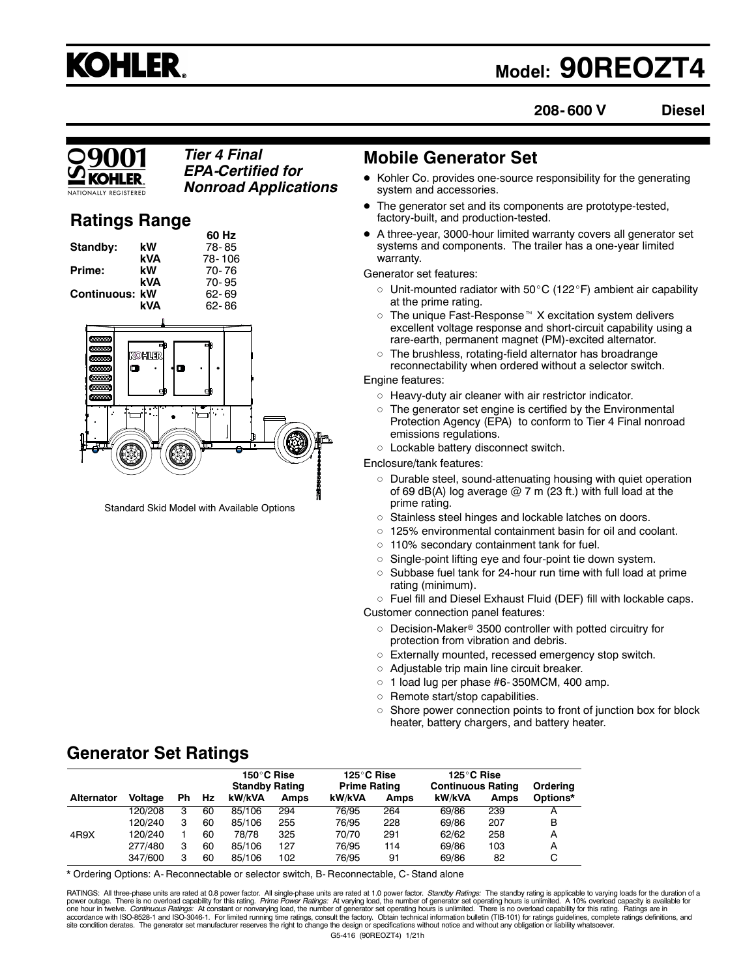

# **Model: 90REOZT4**

**208- 600 V Diesel**

#### *Tier 4 Final EPA-Certified for Nonroad Applications*

## **Ratings Range**

|                |                  | או טט  |   |
|----------------|------------------|--------|---|
| Standby:       | kW               | 78-85  |   |
|                | <b>kVA</b>       | 78-106 |   |
| Prime:         | kW               | 70-76  |   |
|                | <b>kVA</b>       | 70-95  |   |
| Continuous: kW |                  | 62-69  |   |
|                | <b>kVA</b>       | 62-86  |   |
|                |                  |        |   |
| 333333         | KOHUTR<br>œ<br>σ | œ<br>œ |   |
| 0000000        |                  | π      | H |

**60 Hz**

Standard Skid Model with Available Options

## **Mobile Generator Set**

- Kohler Co. provides one-source responsibility for the generating system and accessories.
- The generator set and its components are prototype-tested, factory-built, and production-tested.
- A three-year, 3000-hour limited warranty covers all generator set systems and components. The trailer has a one-year limited warranty.

Generator set features:

- $\circ$  Unit-mounted radiator with 50°C (122°F) ambient air capability at the prime rating.
- $\circ~$  The unique Fast-Response  $^\text{\tiny{m}}$  X excitation system delivers excellent voltage response and short-circuit capability using a rare-earth, permanent magnet (PM)-excited alternator.
- $\, \circ \,$  The brushless, rotating-field alternator has broadrange reconnectability when ordered without a selector switch.

Engine features:

- Heavy-duty air cleaner with air restrictor indicator.
- $\circ~$  The generator set engine is certified by the Environmental Protection Agency (EPA) to conform to Tier 4 Final nonroad emissions regulations.

 $\circ~$  Lockable battery disconnect switch.

Enclosure/tank features:

- Durable steel, sound-attenuating housing with quiet operation of 69 dB(A) log average  $@$  7 m (23 ft.) with full load at the prime rating.
- Stainless steel hinges and lockable latches on doors.
- 125% environmental containment basin for oil and coolant.
- 110% secondary containment tank for fuel.
- Single-point lifting eye and four-point tie down system.
- $\circ$  Subbase fuel tank for 24-hour run time with full load at prime rating (minimum).
- $\circ~$  Fuel fill and Diesel Exhaust Fluid (DEF) fill with lockable caps.

Customer connection panel features:

- $\circ~$  Decision-Maker® 3500 controller with potted circuitry for protection from vibration and debris.
- Externally mounted, recessed emergency stop switch.
- Adjustable trip main line circuit breaker.
- $\circ$  1 load lug per phase #6-350MCM, 400 amp.
- $\circ$ Remote start/stop capabilities.
- $\circ$  Shore power connection points to front of junction box for block heater, battery chargers, and battery heater.

## **Generator Set Ratings**

|                   |         |     |    | 150°C Rise<br><b>Standby Rating</b> |             | 125°C Rise<br><b>Prime Rating</b> |      | 125°C Rise<br><b>Continuous Rating</b> |      | Orderina |
|-------------------|---------|-----|----|-------------------------------------|-------------|-----------------------------------|------|----------------------------------------|------|----------|
| <b>Alternator</b> | Voltage | Ph. | Hz | kW/kVA                              | <b>Amps</b> | kW/kVA                            | Amps | kW/kVA                                 | Amps | Options* |
|                   | 120/208 | 3   | 60 | 85/106                              | 294         | 76/95                             | 264  | 69/86                                  | 239  |          |
|                   | 120/240 | 3   | 60 | 85/106                              | 255         | 76/95                             | 228  | 69/86                                  | 207  | B        |
| 4R9X              | 120/240 |     | 60 | 78/78                               | 325         | 70/70                             | 291  | 62/62                                  | 258  | А        |
|                   | 277/480 | з   | 60 | 85/106                              | 127         | 76/95                             | 114  | 69/86                                  | 103  | А        |
|                   | 347/600 | з   | 60 | 85/106                              | 102         | 76/95                             | 91   | 69/86                                  | 82   | С        |

\* Ordering Options: A- Reconnectable or selector switch, B- Reconnectable, C- Stand alone

G5-416 (90REOZT4) 1/21h RATINGS: All three-phase units are rated at 0.8 power factor. All single-phase units are rated at 1.0 power factor. Standby Ratings: The standby rating is applicable to varying loads for the duration of a power outage. There is no overload capability for this rating. *Prime Power Ratings:* At varying load, the number of generator set operating hours is unlimited. A 10% overload capacity is available for<br>one hour in twelve. accordance with ISO-8528-1 and ISO-3046-1. For limited running time ratings, consult the factory. Obtain technical information bulletin (TIB-101) for ratings guidelines, complete ratings definitions, and<br>site condition der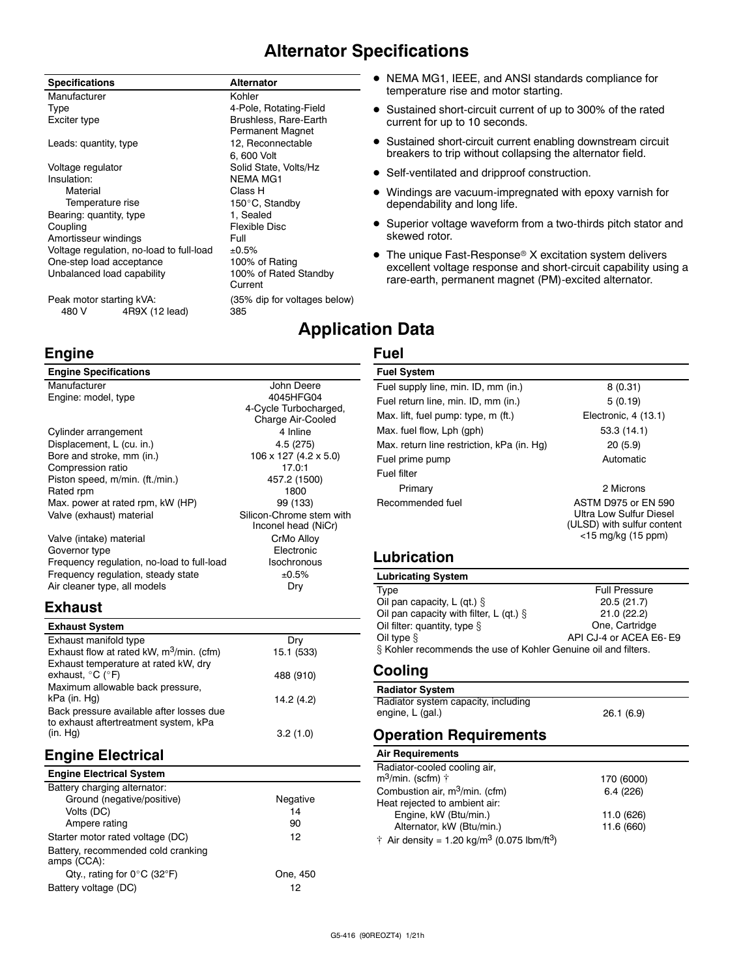## **Alternator Specifications**

Brushless, Rare-Earth Permanent Magnet

6, 600 Volt

Current

150°C, Standby

#### **Specifications Alternator**

Manufacturer **Kohler** Kohler Type **1998**<br>Exciter type 1998 **Exciter** type 1999 **Brushless, Rare-Earth** 

Leads: quantity, type 12, Reconnectable Voltage regulator Solid State, Volts/Hz Insulation: NEMA MG1 Material Class H Bearing: quantity, type 1, Sealed Coupling<br>
Amortisseur windings

Full
Full
Coupling
Coupling
Coupling
Coupling
Coupling
Coupling
Coupling
Coupling
Coupling
Coupling
Coupling
Coupling
Coupling
Coupling
Coupling
Coupling
Coupling
Coupling
Coupling
Coupling Amortisseur windings<br>Voltage regulation, no-load to full-load  $\pm 0.5\%$ Voltage regulation, no-load to full-load  $\pm 0.5\%$ <br>One-step load acceptance 100% of Rating One-step load acceptance Unbalanced load capability 100% of Rated Standby

Peak motor starting kVA: (35% dip for voltages below) 480 V 4R9X (12 lead) 385

## **Engine**

**Engine Specifications**

| Manufacturer                               | John Deere               |
|--------------------------------------------|--------------------------|
| Engine: model, type                        | 4045HFG04                |
|                                            | 4-Cycle Turbocharged,    |
|                                            | Charge Air-Cooled        |
| Cylinder arrangement                       | 4 Inline                 |
| Displacement, L (cu. in.)                  | 4.5(275)                 |
| Bore and stroke, mm (in.)                  | 106 x 127 (4.2 x 5.0)    |
| Compression ratio                          | 17.0:1                   |
| Piston speed, m/min. (ft./min.)            | 457.2 (1500)             |
| Rated rpm                                  | 1800                     |
| Max. power at rated rpm, kW (HP)           | 99 (133)                 |
| Valve (exhaust) material                   | Silicon-Chrome stem with |
|                                            | Inconel head (NiCr)      |
| Valve (intake) material                    | CrMo Alloy               |
| Governor type                              | Electronic               |
| Frequency regulation, no-load to full-load | Isochronous              |
| Frequency regulation, steady state         | ±0.5%                    |
| Air cleaner type, all models               | Drv                      |

#### **Exhaust**

| <b>Exhaust System</b>                                                             |            |
|-----------------------------------------------------------------------------------|------------|
| Exhaust manifold type                                                             | Dry        |
| Exhaust flow at rated kW, m <sup>3</sup> /min. (cfm)                              | 15.1 (533) |
| Exhaust temperature at rated kW, dry                                              |            |
| exhaust, $^{\circ}$ C ( $^{\circ}$ F)                                             | 488 (910)  |
| Maximum allowable back pressure,                                                  |            |
| kPa (in. Hg)                                                                      | 14.2 (4.2) |
| Back pressure available after losses due<br>to exhaust aftertreatment system, kPa |            |
| (in. Hq)                                                                          | 3.2(1.0)   |

## **Engine Electrical**

| <b>Engine Electrical System</b>                   |          |
|---------------------------------------------------|----------|
| Battery charging alternator:                      |          |
| Ground (negative/positive)                        | Negative |
| Volts (DC)                                        | 14       |
| Ampere rating                                     | 90       |
| Starter motor rated voltage (DC)                  | 12       |
| Battery, recommended cold cranking<br>amps (CCA): |          |
| Qty., rating for $0^{\circ}$ C (32 $^{\circ}$ F)  | One. 450 |
| Battery voltage (DC)                              | 12       |

- NEMA MG1, IEEE, and ANSI standards compliance for temperature rise and motor starting.
- Sustained short-circuit current of up to 300% of the rated current for up to 10 seconds.
- Sustained short-circuit current enabling downstream circuit breakers to trip without collapsing the alternator field.
- Self-ventilated and dripproof construction.
- Windings are vacuum-impregnated with epoxy varnish for dependability and long life.
- Superior voltage waveform from a two-thirds pitch stator and skewed rotor.
- The unique Fast-Response® X excitation system delivers excellent voltage response and short-circuit capability using a rare-earth, permanent magnet (PM)-excited alternator.

## **Application Data**

### **Fuel**

| <b>Fuel System</b>                         |                                                                                                              |  |  |
|--------------------------------------------|--------------------------------------------------------------------------------------------------------------|--|--|
| Fuel supply line, min. ID, mm (in.)        | 8(0.31)                                                                                                      |  |  |
| Fuel return line, min. ID, mm (in.)        | 5(0.19)                                                                                                      |  |  |
| Max. lift, fuel pump: type, m (ft.)        | Electronic, 4 (13.1)                                                                                         |  |  |
| Max. fuel flow, Lph (gph)                  | 53.3(14.1)                                                                                                   |  |  |
| Max. return line restriction, kPa (in. Hg) | 20(5.9)                                                                                                      |  |  |
| Fuel prime pump                            | Automatic                                                                                                    |  |  |
| Fuel filter                                |                                                                                                              |  |  |
| Primary                                    | 2 Microns                                                                                                    |  |  |
| Recommended fuel                           | <b>ASTM D975 or EN 590</b><br>Ultra Low Sulfur Diesel<br>(ULSD) with sulfur content<br>$<$ 15 mg/kg (15 ppm) |  |  |

### **Lubrication**

#### **Lubricating System** Type Full Pressure<br>
Oil pan capacity, L (qt.) § 20.5 (21.7) Oil pan capacity, L (qt.)  $\S$  20.5 (21.7)<br>
Oil pan capacity with filter. L (qt.)  $\S$  21.0 (22.2) Oil pan capacity with filter,  $\lfloor$  (qt.)  $\frac{1}{2}$

| Oil filter: quantity, type $\S$                                   | One, Cartridge         |
|-------------------------------------------------------------------|------------------------|
| Oil type §                                                        | API CJ-4 or ACEA E6-E9 |
| $\S$ Kohler recommends the use of Kohler Genuine oil and filters. |                        |
|                                                                   |                        |

## **Cooling**

| <b>Radiator System</b>              |           |
|-------------------------------------|-----------|
| Radiator system capacity, including |           |
| engine, L (gal.)                    | 26.1(6.9) |

## **Operation Requirements**

#### **Air Requirements**

| Radiator-cooled cooling air,                                        |            |
|---------------------------------------------------------------------|------------|
| m <sup>3</sup> /min. (scfm) †                                       | 170 (6000) |
| Combustion air, m <sup>3</sup> /min. (cfm)                          | 6.4(226)   |
| Heat rejected to ambient air:                                       |            |
| Engine, kW (Btu/min.)                                               | 11.0 (626) |
| Alternator, kW (Btu/min.)                                           | 11.6 (660) |
| † Air density = 1.20 kg/m <sup>3</sup> (0.075 lbm/ft <sup>3</sup> ) |            |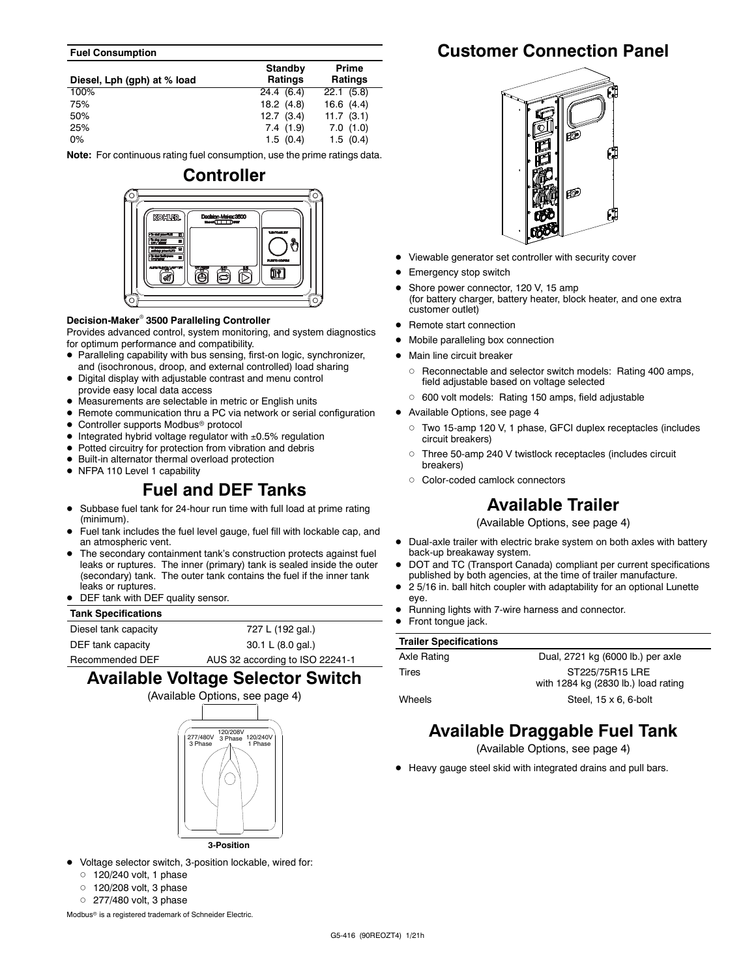#### **Fuel Consumption**

| Diesel, Lph (gph) at % load | Standby<br><b>Ratings</b> | Prime<br><b>Ratings</b> |
|-----------------------------|---------------------------|-------------------------|
| 100%                        | 24.4 (6.4)                | 22.1(5.8)               |
| 75%                         | 18.2(4.8)                 | 16.6(4.4)               |
| 50%                         | 12.7(3.4)                 | 11.7(3.1)               |
| 25%                         | 7.4(1.9)                  | 7.0(1.0)                |
| $0\%$                       | 1.5(0.4)                  | 1.5(0.4)                |

**Note:** For continuous rating fuel consumption, use the prime ratings data.



#### **Decision-Maker 3500 Paralleling Controller**

Provides advanced control, system monitoring, and system diagnostics for optimum performance and compatibility.

- Paralleling capability with bus sensing, first-on logic, synchronizer, and (isochronous, droop, and external controlled) load sharing
- Digital display with adjustable contrast and menu control provide easy local data access
- Measurements are selectable in metric or English units
- Remote communication thru a PC via network or serial configuration
- Controller supports Modbus<sup>®</sup> protocol
- $\bullet$  Integrated hybrid voltage regulator with  $\pm 0.5\%$  regulation
- Potted circuitry for protection from vibration and debris
- Built-in alternator thermal overload protection
- NFPA 110 Level 1 capability

## **Fuel and DEF Tanks**

- Subbase fuel tank for 24-hour run time with full load at prime rating (minimum).
- Fuel tank includes the fuel level gauge, fuel fill with lockable cap, and an atmospheric vent.
- The secondary containment tank's construction protects against fuel leaks or ruptures. The inner (primary) tank is sealed inside the outer (secondary) tank. The outer tank contains the fuel if the inner tank leaks or ruptures
- DEF tank with DEF quality sensor.

#### **Tank Specifications**

Diesel tank capacity 727 L (192 gal.) DEF tank capacity 30.1 L (8.0 gal.)

Recommended DEF AUS 32 according to ISO 22241-1

## **Available Voltage Selector Switch**



- Voltage selector switch, 3-position lockable, wired for:
	- $\circ$  120/240 volt, 1 phase
	- $\circ$  120/208 volt, 3 phase
	- $\circ$  277/480 volt, 3 phase

Modbus<sup>®</sup> is a registered trademark of Schneider Electric.

## **Customer Connection Panel**



- Viewable generator set controller with security cover
- Emergency stop switch
- Shore power connector, 120 V, 15 amp (for battery charger, battery heater, block heater, and one extra customer outlet)
- Remote start connection
- Mobile paralleling box connection
- Main line circuit breaker
	- Reconnectable and selector switch models: Rating 400 amps, field adjustable based on voltage selected
	- 600 volt models: Rating 150 amps, field adjustable
- Available Options, see page 4
	- Two 15-amp 120 V, 1 phase, GFCI duplex receptacles (includes circuit breakers)
	- $\circ$  Three 50-amp 240 V twistlock receptacles (includes circuit breakers)
	- Color-coded camlock connectors

## **Available Trailer**

(Available Options, see page 4)

- Dual-axle trailer with electric brake system on both axles with battery back-up breakaway system.
- DOT and TC (Transport Canada) compliant per current specifications published by both agencies, at the time of trailer manufacture.
- 2 5/16 in. ball hitch coupler with adaptability for an optional Lunette eye.
- Running lights with 7-wire harness and connector.
- Front tongue jack.

| <b>Trailer Specifications</b> |                                                        |
|-------------------------------|--------------------------------------------------------|
| Axle Rating                   | Dual, 2721 kg (6000 lb.) per axle                      |
| Tires                         | ST225/75R15 LRE<br>with 1284 kg (2830 lb.) load rating |
| Wheels                        | Steel, $15 \times 6$ , 6-bolt                          |

## **Available Draggable Fuel Tank**

(Available Options, see page 4)

Heavy gauge steel skid with integrated drains and pull bars.